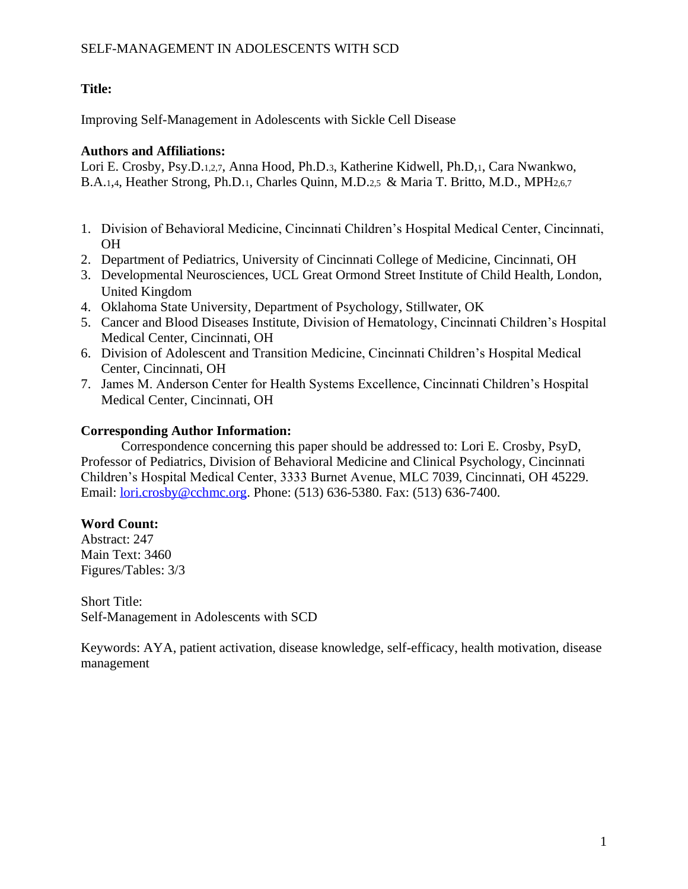## **Title:**

Improving Self-Management in Adolescents with Sickle Cell Disease

## **Authors and Affiliations:**

Lori E. Crosby, Psy.D.1,2,7, Anna Hood, Ph.D.3, Katherine Kidwell, Ph.D,1, Cara Nwankwo, B.A.1,4, Heather Strong, Ph.D.1, Charles Quinn, M.D.2,5 & Maria T. Britto, M.D., MPH2,6,7

- 1. Division of Behavioral Medicine, Cincinnati Children's Hospital Medical Center, Cincinnati, OH
- 2. Department of Pediatrics, University of Cincinnati College of Medicine, Cincinnati, OH
- 3. Developmental Neurosciences, UCL Great Ormond Street Institute of Child Health, London, United Kingdom
- 4. Oklahoma State University, Department of Psychology, Stillwater, OK
- 5. Cancer and Blood Diseases Institute, Division of Hematology, Cincinnati Children's Hospital Medical Center, Cincinnati, OH
- 6. Division of Adolescent and Transition Medicine, Cincinnati Children's Hospital Medical Center, Cincinnati, OH
- 7. James M. Anderson Center for Health Systems Excellence, Cincinnati Children's Hospital Medical Center, Cincinnati, OH

### **Corresponding Author Information:**

Correspondence concerning this paper should be addressed to: Lori E. Crosby, PsyD, Professor of Pediatrics, Division of Behavioral Medicine and Clinical Psychology, Cincinnati Children's Hospital Medical Center, 3333 Burnet Avenue, MLC 7039, Cincinnati, OH 45229. Email: [lori.crosby@cchmc.org.](mailto:lori.crosby@cchmc.org) Phone: (513) 636-5380. Fax: (513) 636-7400.

## **Word Count:**

Abstract: 247 Main Text: 3460 Figures/Tables: 3/3

Short Title: Self-Management in Adolescents with SCD

Keywords: AYA, patient activation, disease knowledge, self-efficacy, health motivation, disease management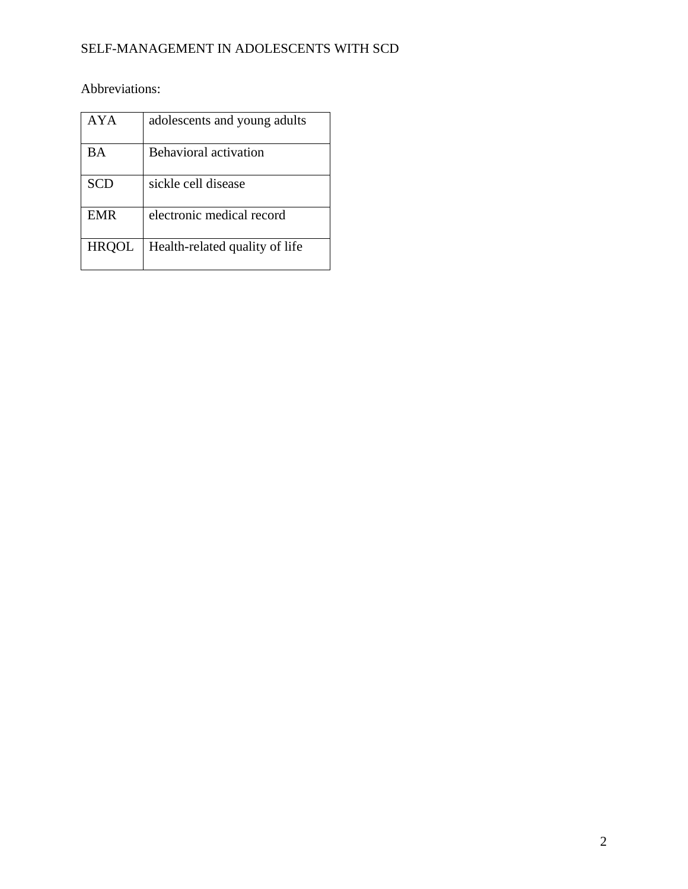Abbreviations:

| AYA        | adolescents and young adults   |
|------------|--------------------------------|
| ВA         | <b>Behavioral activation</b>   |
| <b>SCD</b> | sickle cell disease            |
| EMR        | electronic medical record      |
| HRQOL      | Health-related quality of life |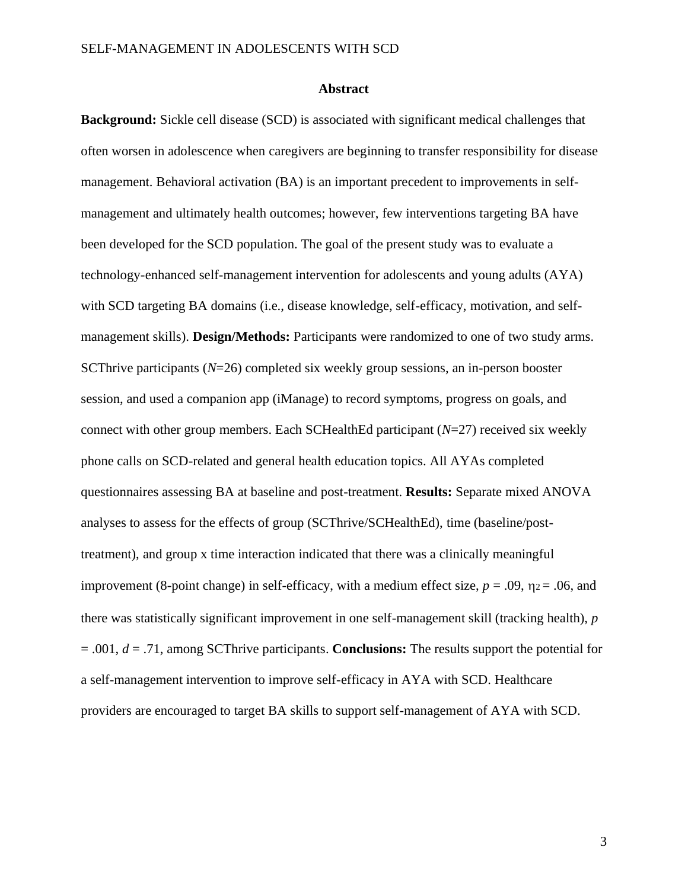#### **Abstract**

**Background:** Sickle cell disease (SCD) is associated with significant medical challenges that often worsen in adolescence when caregivers are beginning to transfer responsibility for disease management. Behavioral activation (BA) is an important precedent to improvements in selfmanagement and ultimately health outcomes; however, few interventions targeting BA have been developed for the SCD population. The goal of the present study was to evaluate a technology-enhanced self-management intervention for adolescents and young adults (AYA) with SCD targeting BA domains (i.e., disease knowledge, self-efficacy, motivation, and selfmanagement skills). **Design/Methods:** Participants were randomized to one of two study arms. SCThrive participants (*N*=26) completed six weekly group sessions, an in-person booster session, and used a companion app (iManage) to record symptoms, progress on goals, and connect with other group members. Each SCHealthEd participant (*N*=27) received six weekly phone calls on SCD-related and general health education topics. All AYAs completed questionnaires assessing BA at baseline and post-treatment. **Results:** Separate mixed ANOVA analyses to assess for the effects of group (SCThrive/SCHealthEd), time (baseline/posttreatment), and group x time interaction indicated that there was a clinically meaningful improvement (8-point change) in self-efficacy, with a medium effect size,  $p = .09$ ,  $\eta_2 = .06$ , and there was statistically significant improvement in one self-management skill (tracking health), *p* = .001, *d* = .71, among SCThrive participants. **Conclusions:** The results support the potential for a self-management intervention to improve self-efficacy in AYA with SCD. Healthcare providers are encouraged to target BA skills to support self-management of AYA with SCD.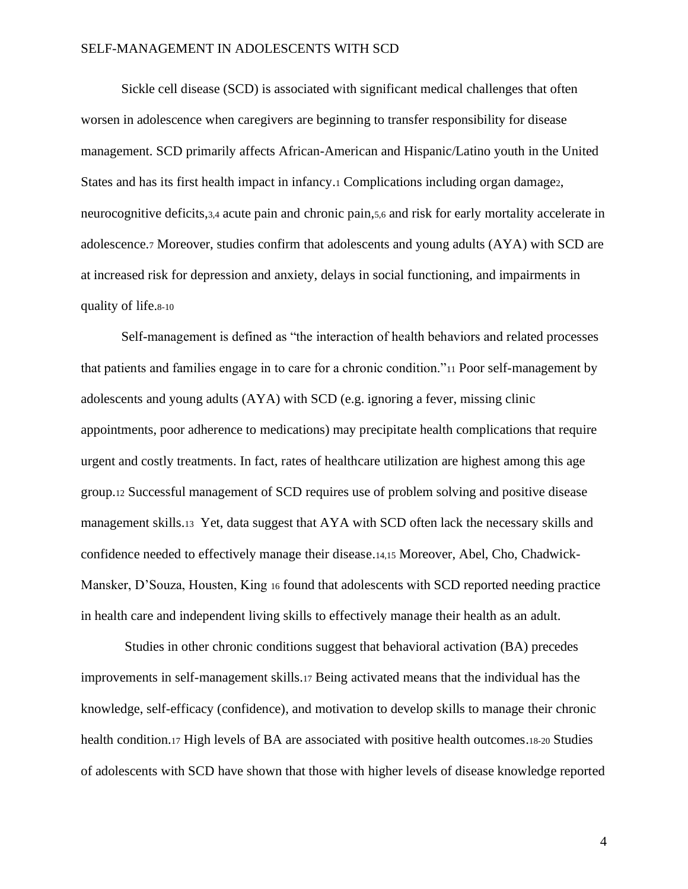Sickle cell disease (SCD) is associated with significant medical challenges that often worsen in adolescence when caregivers are beginning to transfer responsibility for disease management. SCD primarily affects African-American and Hispanic/Latino youth in the United States and has its first health impact in infancy.<sup>1</sup> Complications including organ damage2, neurocognitive deficits,3,4 acute pain and chronic pain,5,6 and risk for early mortality accelerate in adolescence.<sup>7</sup> Moreover, studies confirm that adolescents and young adults (AYA) with SCD are at increased risk for depression and anxiety, delays in social functioning, and impairments in quality of life.8-10

Self-management is defined as "the interaction of health behaviors and related processes that patients and families engage in to care for a chronic condition."<sup>11</sup> Poor self-management by adolescents and young adults (AYA) with SCD (e.g. ignoring a fever, missing clinic appointments, poor adherence to medications) may precipitate health complications that require urgent and costly treatments. In fact, rates of healthcare utilization are highest among this age group.<sup>12</sup> Successful management of SCD requires use of problem solving and positive disease management skills.<sup>13</sup> Yet, data suggest that AYA with SCD often lack the necessary skills and confidence needed to effectively manage their disease.14,15 Moreover, Abel, Cho, Chadwick-Mansker, D'Souza, Housten, King <sup>16</sup> found that adolescents with SCD reported needing practice in health care and independent living skills to effectively manage their health as an adult.

Studies in other chronic conditions suggest that behavioral activation (BA) precedes improvements in self-management skills.<sup>17</sup> Being activated means that the individual has the knowledge, self-efficacy (confidence), and motivation to develop skills to manage their chronic health condition.<sup>17</sup> High levels of BA are associated with positive health outcomes.18-20 Studies of adolescents with SCD have shown that those with higher levels of disease knowledge reported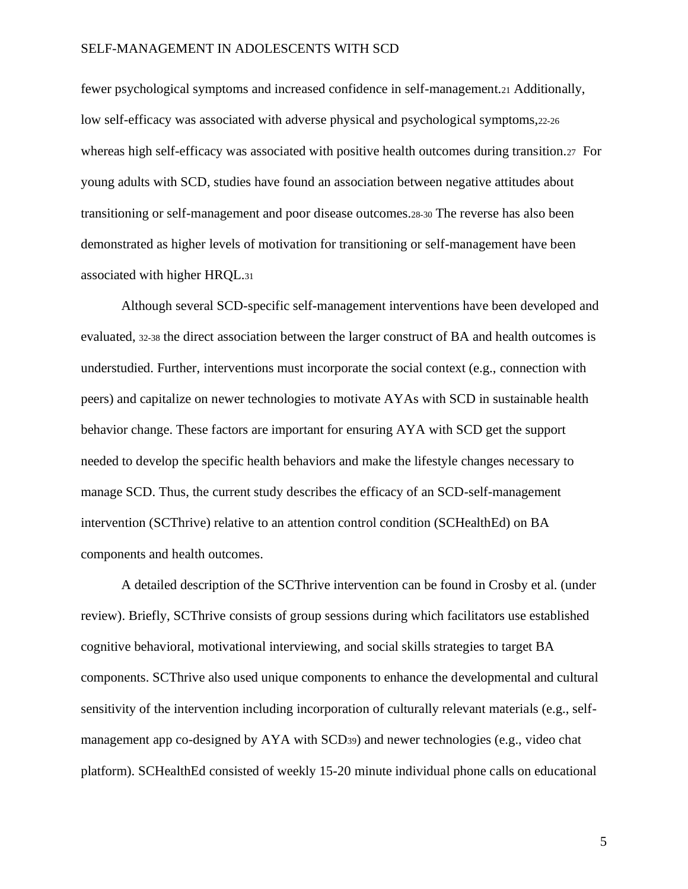fewer psychological symptoms and increased confidence in self-management.<sup>21</sup> Additionally, low self-efficacy was associated with adverse physical and psychological symptoms,22-26 whereas high self-efficacy was associated with positive health outcomes during transition.27 For young adults with SCD, studies have found an association between negative attitudes about transitioning or self-management and poor disease outcomes.28-30 The reverse has also been demonstrated as higher levels of motivation for transitioning or self-management have been associated with higher HRQL.<sup>31</sup>

Although several SCD-specific self-management interventions have been developed and evaluated, 32-38 the direct association between the larger construct of BA and health outcomes is understudied. Further, interventions must incorporate the social context (e.g., connection with peers) and capitalize on newer technologies to motivate AYAs with SCD in sustainable health behavior change. These factors are important for ensuring AYA with SCD get the support needed to develop the specific health behaviors and make the lifestyle changes necessary to manage SCD. Thus, the current study describes the efficacy of an SCD-self-management intervention (SCThrive) relative to an attention control condition (SCHealthEd) on BA components and health outcomes.

A detailed description of the SCThrive intervention can be found in Crosby et al. (under review). Briefly, SCThrive consists of group sessions during which facilitators use established cognitive behavioral, motivational interviewing, and social skills strategies to target BA components. SCThrive also used unique components to enhance the developmental and cultural sensitivity of the intervention including incorporation of culturally relevant materials (e.g., selfmanagement app co-designed by AYA with SCD39) and newer technologies (e.g., video chat platform). SCHealthEd consisted of weekly 15-20 minute individual phone calls on educational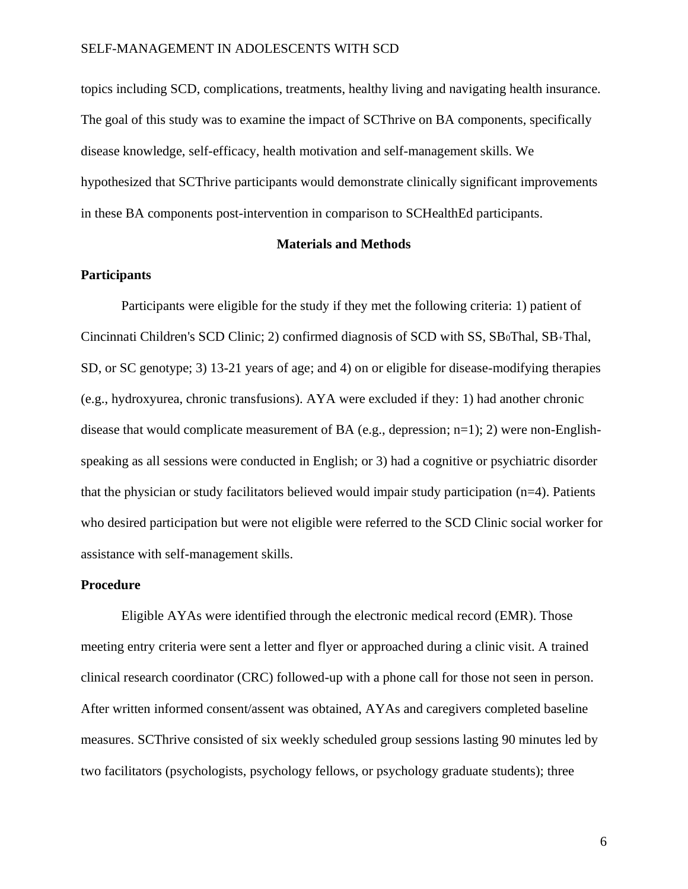topics including SCD, complications, treatments, healthy living and navigating health insurance. The goal of this study was to examine the impact of SCThrive on BA components, specifically disease knowledge, self-efficacy, health motivation and self-management skills. We hypothesized that SCThrive participants would demonstrate clinically significant improvements in these BA components post-intervention in comparison to SCHealthEd participants.

### **Materials and Methods**

#### **Participants**

Participants were eligible for the study if they met the following criteria: 1) patient of Cincinnati Children's SCD Clinic; 2) confirmed diagnosis of SCD with SS, SB0Thal, SB+Thal, SD, or SC genotype; 3) 13-21 years of age; and 4) on or eligible for disease-modifying therapies (e.g., hydroxyurea, chronic transfusions). AYA were excluded if they: 1) had another chronic disease that would complicate measurement of BA (e.g., depression; n=1); 2) were non-Englishspeaking as all sessions were conducted in English; or 3) had a cognitive or psychiatric disorder that the physician or study facilitators believed would impair study participation (n=4). Patients who desired participation but were not eligible were referred to the SCD Clinic social worker for assistance with self-management skills.

#### **Procedure**

Eligible AYAs were identified through the electronic medical record (EMR). Those meeting entry criteria were sent a letter and flyer or approached during a clinic visit. A trained clinical research coordinator (CRC) followed-up with a phone call for those not seen in person. After written informed consent/assent was obtained, AYAs and caregivers completed baseline measures. SCThrive consisted of six weekly scheduled group sessions lasting 90 minutes led by two facilitators (psychologists, psychology fellows, or psychology graduate students); three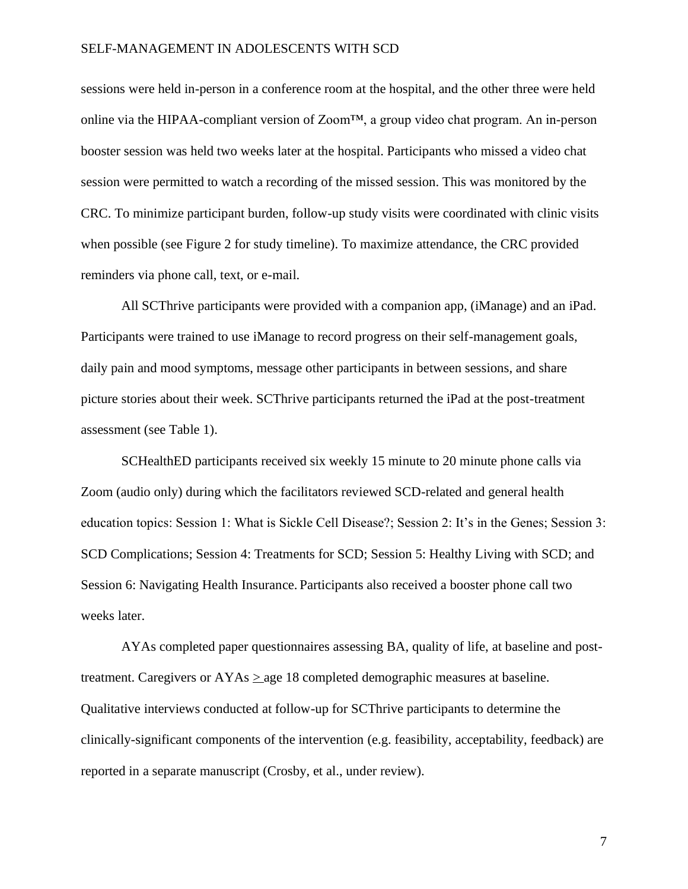sessions were held in-person in a conference room at the hospital, and the other three were held online via the HIPAA-compliant version of Zoom™, a group video chat program. An in-person booster session was held two weeks later at the hospital. Participants who missed a video chat session were permitted to watch a recording of the missed session. This was monitored by the CRC. To minimize participant burden, follow-up study visits were coordinated with clinic visits when possible (see Figure 2 for study timeline). To maximize attendance, the CRC provided reminders via phone call, text, or e-mail.

All SCThrive participants were provided with a companion app, (iManage) and an iPad. Participants were trained to use iManage to record progress on their self-management goals, daily pain and mood symptoms, message other participants in between sessions, and share picture stories about their week. SCThrive participants returned the iPad at the post-treatment assessment (see Table 1).

SCHealthED participants received six weekly 15 minute to 20 minute phone calls via Zoom (audio only) during which the facilitators reviewed SCD-related and general health education topics: Session 1: What is Sickle Cell Disease?; Session 2: It's in the Genes; Session 3: SCD Complications; Session 4: Treatments for SCD; Session 5: Healthy Living with SCD; and Session 6: Navigating Health Insurance. Participants also received a booster phone call two weeks later.

AYAs completed paper questionnaires assessing BA, quality of life, at baseline and posttreatment. Caregivers or  $AYAs \geq age 18$  completed demographic measures at baseline. Qualitative interviews conducted at follow-up for SCThrive participants to determine the clinically-significant components of the intervention (e.g. feasibility, acceptability, feedback) are reported in a separate manuscript (Crosby, et al., under review).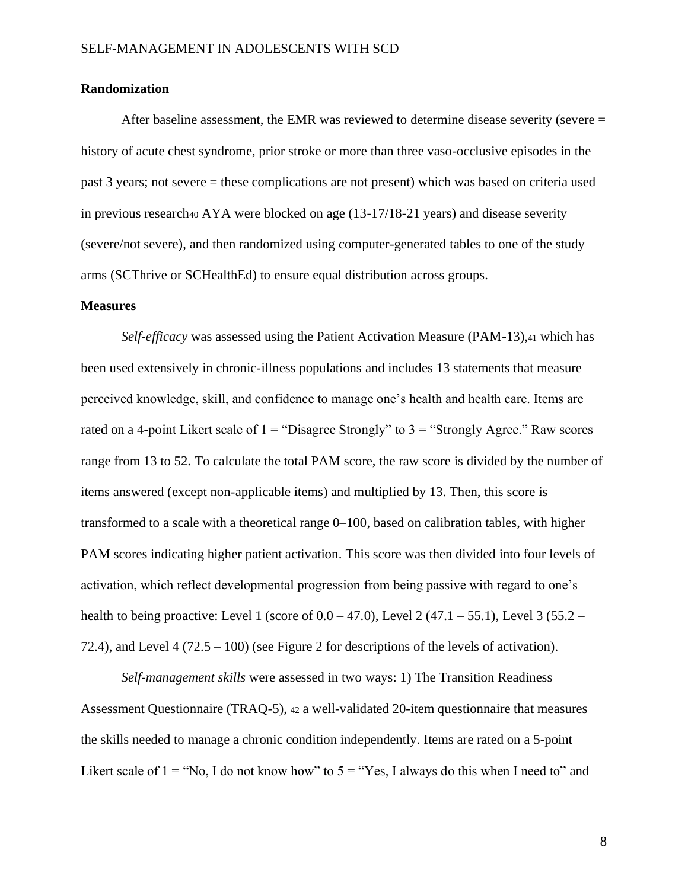### **Randomization**

After baseline assessment, the EMR was reviewed to determine disease severity (severe = history of acute chest syndrome, prior stroke or more than three vaso-occlusive episodes in the past 3 years; not severe = these complications are not present) which was based on criteria used in previous research<sub>40</sub> AYA were blocked on age  $(13-17/18-21)$  years) and disease severity (severe/not severe), and then randomized using computer-generated tables to one of the study arms (SCThrive or SCHealthEd) to ensure equal distribution across groups.

#### **Measures**

*Self-efficacy* was assessed using the Patient Activation Measure (PAM-13), 41 which has been used extensively in chronic-illness populations and includes 13 statements that measure perceived knowledge, skill, and confidence to manage one's health and health care. Items are rated on a 4-point Likert scale of  $1 =$  "Disagree Strongly" to  $3 =$  "Strongly Agree." Raw scores range from 13 to 52. To calculate the total PAM score, the raw score is divided by the number of items answered (except non-applicable items) and multiplied by 13. Then, this score is transformed to a scale with a theoretical range 0–100, based on calibration tables, with higher PAM scores indicating higher patient activation. This score was then divided into four levels of activation, which reflect developmental progression from being passive with regard to one's health to being proactive: Level 1 (score of  $0.0 - 47.0$ ), Level  $2(47.1 - 55.1)$ , Level  $3(55.2 -$ 72.4), and Level 4 (72.5 – 100) (see Figure 2 for descriptions of the levels of activation).

*Self-management skills* were assessed in two ways: 1) The Transition Readiness Assessment Questionnaire (TRAQ-5), <sup>42</sup> a well-validated 20-item questionnaire that measures the skills needed to manage a chronic condition independently. Items are rated on a 5-point Likert scale of  $1 = "No, I$  do not know how" to  $5 = "Yes, I$  always do this when I need to" and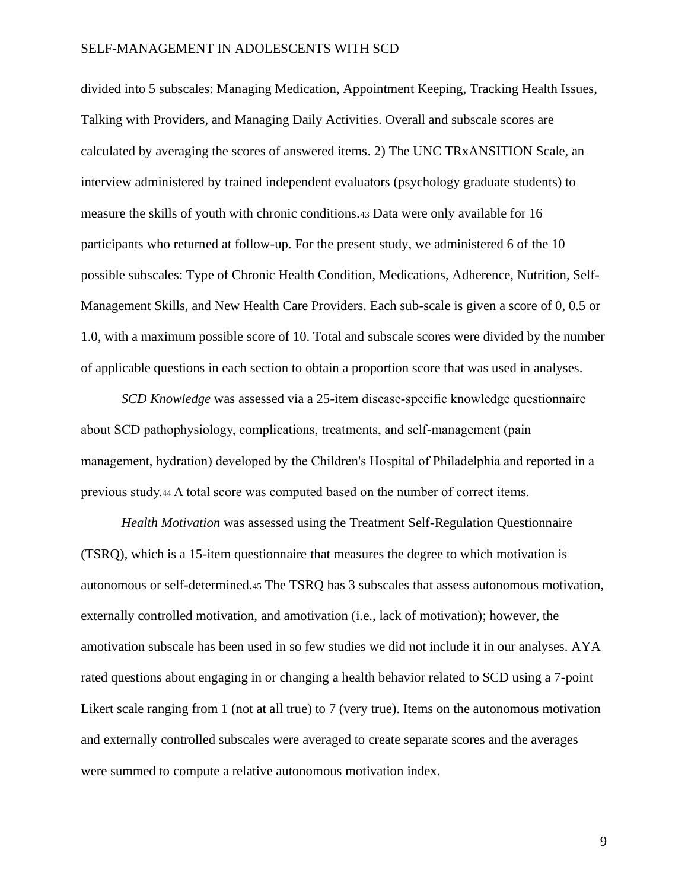divided into 5 subscales: Managing Medication, Appointment Keeping, Tracking Health Issues, Talking with Providers, and Managing Daily Activities. Overall and subscale scores are calculated by averaging the scores of answered items. 2) The UNC TRxANSITION Scale, an interview administered by trained independent evaluators (psychology graduate students) to measure the skills of youth with chronic conditions.<sup>43</sup> Data were only available for 16 participants who returned at follow-up. For the present study, we administered 6 of the 10 possible subscales: Type of Chronic Health Condition, Medications, Adherence, Nutrition, Self-Management Skills, and New Health Care Providers. Each sub-scale is given a score of 0, 0.5 or 1.0, with a maximum possible score of 10. Total and subscale scores were divided by the number of applicable questions in each section to obtain a proportion score that was used in analyses.

*SCD Knowledge* was assessed via a 25-item disease-specific knowledge questionnaire about SCD pathophysiology, complications, treatments, and self-management (pain management, hydration) developed by the Children's Hospital of Philadelphia and reported in a previous study.<sup>44</sup> A total score was computed based on the number of correct items.

*Health Motivation* was assessed using the Treatment Self-Regulation Questionnaire (TSRQ), which is a 15-item questionnaire that measures the degree to which motivation is autonomous or self-determined.<sup>45</sup> The TSRQ has 3 subscales that assess autonomous motivation, externally controlled motivation, and amotivation (i.e., lack of motivation); however, the amotivation subscale has been used in so few studies we did not include it in our analyses. AYA rated questions about engaging in or changing a health behavior related to SCD using a 7-point Likert scale ranging from 1 (not at all true) to 7 (very true). Items on the autonomous motivation and externally controlled subscales were averaged to create separate scores and the averages were summed to compute a relative autonomous motivation index.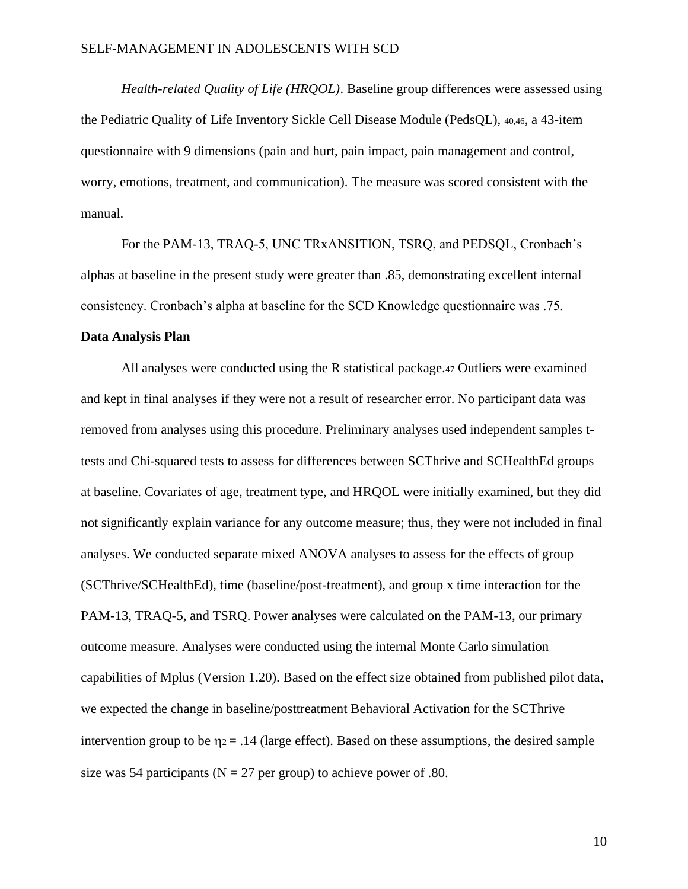*Health-related Quality of Life (HRQOL)*. Baseline group differences were assessed using the Pediatric Quality of Life Inventory Sickle Cell Disease Module (PedsQL), 40,46, a 43-item questionnaire with 9 dimensions (pain and hurt, pain impact, pain management and control, worry, emotions, treatment, and communication). The measure was scored consistent with the manual.

For the PAM-13, TRAQ-5, UNC TRxANSITION, TSRQ, and PEDSQL, Cronbach's alphas at baseline in the present study were greater than .85, demonstrating excellent internal consistency. Cronbach's alpha at baseline for the SCD Knowledge questionnaire was .75.

#### **Data Analysis Plan**

All analyses were conducted using the R statistical package.<sup>47</sup> Outliers were examined and kept in final analyses if they were not a result of researcher error. No participant data was removed from analyses using this procedure. Preliminary analyses used independent samples ttests and Chi-squared tests to assess for differences between SCThrive and SCHealthEd groups at baseline. Covariates of age, treatment type, and HRQOL were initially examined, but they did not significantly explain variance for any outcome measure; thus, they were not included in final analyses. We conducted separate mixed ANOVA analyses to assess for the effects of group (SCThrive/SCHealthEd), time (baseline/post-treatment), and group x time interaction for the PAM-13, TRAQ-5, and TSRQ. Power analyses were calculated on the PAM-13, our primary outcome measure. Analyses were conducted using the internal Monte Carlo simulation capabilities of Mplus (Version 1.20). Based on the effect size obtained from published pilot data, we expected the change in baseline/posttreatment Behavioral Activation for the SCThrive intervention group to be  $\eta$ <sup>2</sup> = .14 (large effect). Based on these assumptions, the desired sample size was 54 participants ( $N = 27$  per group) to achieve power of .80.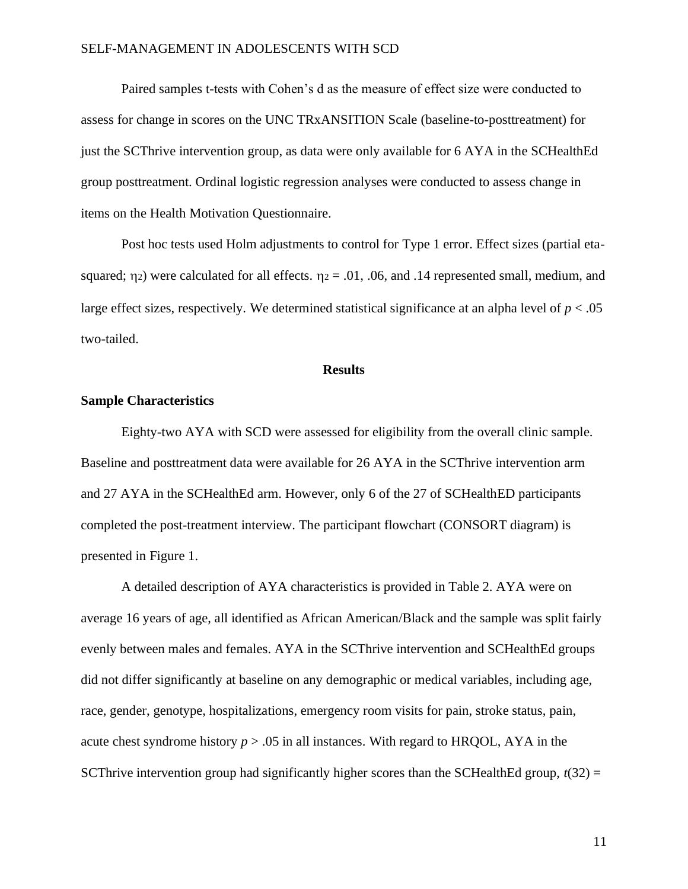Paired samples t-tests with Cohen's d as the measure of effect size were conducted to assess for change in scores on the UNC TRxANSITION Scale (baseline-to-posttreatment) for just the SCThrive intervention group, as data were only available for 6 AYA in the SCHealthEd group posttreatment. Ordinal logistic regression analyses were conducted to assess change in items on the Health Motivation Questionnaire.

Post hoc tests used Holm adjustments to control for Type 1 error. Effect sizes (partial etasquared;  $\eta$ <sup>2</sup>) were calculated for all effects.  $\eta$ <sup>2</sup> = .01, .06, and .14 represented small, medium, and large effect sizes, respectively. We determined statistical significance at an alpha level of  $p < .05$ two-tailed.

#### **Results**

#### **Sample Characteristics**

Eighty-two AYA with SCD were assessed for eligibility from the overall clinic sample. Baseline and posttreatment data were available for 26 AYA in the SCThrive intervention arm and 27 AYA in the SCHealthEd arm. However, only 6 of the 27 of SCHealthED participants completed the post-treatment interview. The participant flowchart (CONSORT diagram) is presented in Figure 1.

A detailed description of AYA characteristics is provided in Table 2. AYA were on average 16 years of age, all identified as African American/Black and the sample was split fairly evenly between males and females. AYA in the SCThrive intervention and SCHealthEd groups did not differ significantly at baseline on any demographic or medical variables, including age, race, gender, genotype, hospitalizations, emergency room visits for pain, stroke status, pain, acute chest syndrome history  $p > 0.05$  in all instances. With regard to HRQOL, AYA in the SCThrive intervention group had significantly higher scores than the SCHealthEd group,  $t(32) =$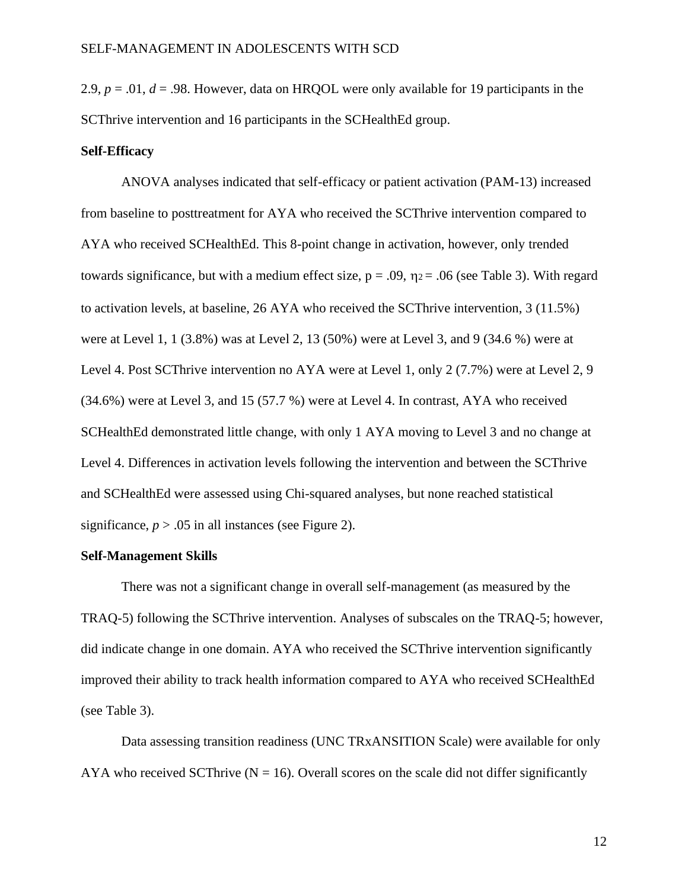2.9,  $p = .01$ ,  $d = .98$ . However, data on HRQOL were only available for 19 participants in the SCThrive intervention and 16 participants in the SCHealthEd group.

#### **Self-Efficacy**

ANOVA analyses indicated that self-efficacy or patient activation (PAM-13) increased from baseline to posttreatment for AYA who received the SCThrive intervention compared to AYA who received SCHealthEd. This 8-point change in activation, however, only trended towards significance, but with a medium effect size,  $p = .09$ ,  $\eta_2 = .06$  (see Table 3). With regard to activation levels, at baseline, 26 AYA who received the SCThrive intervention, 3 (11.5%) were at Level 1, 1 (3.8%) was at Level 2, 13 (50%) were at Level 3, and 9 (34.6 %) were at Level 4. Post SCThrive intervention no AYA were at Level 1, only 2 (7.7%) were at Level 2, 9 (34.6%) were at Level 3, and 15 (57.7 %) were at Level 4. In contrast, AYA who received SCHealthEd demonstrated little change, with only 1 AYA moving to Level 3 and no change at Level 4. Differences in activation levels following the intervention and between the SCThrive and SCHealthEd were assessed using Chi-squared analyses, but none reached statistical significance,  $p > .05$  in all instances (see Figure 2).

### **Self-Management Skills**

There was not a significant change in overall self-management (as measured by the TRAQ-5) following the SCThrive intervention. Analyses of subscales on the TRAQ-5; however, did indicate change in one domain. AYA who received the SCThrive intervention significantly improved their ability to track health information compared to AYA who received SCHealthEd (see Table 3).

Data assessing transition readiness (UNC TRxANSITION Scale) were available for only AYA who received SCThrive ( $N = 16$ ). Overall scores on the scale did not differ significantly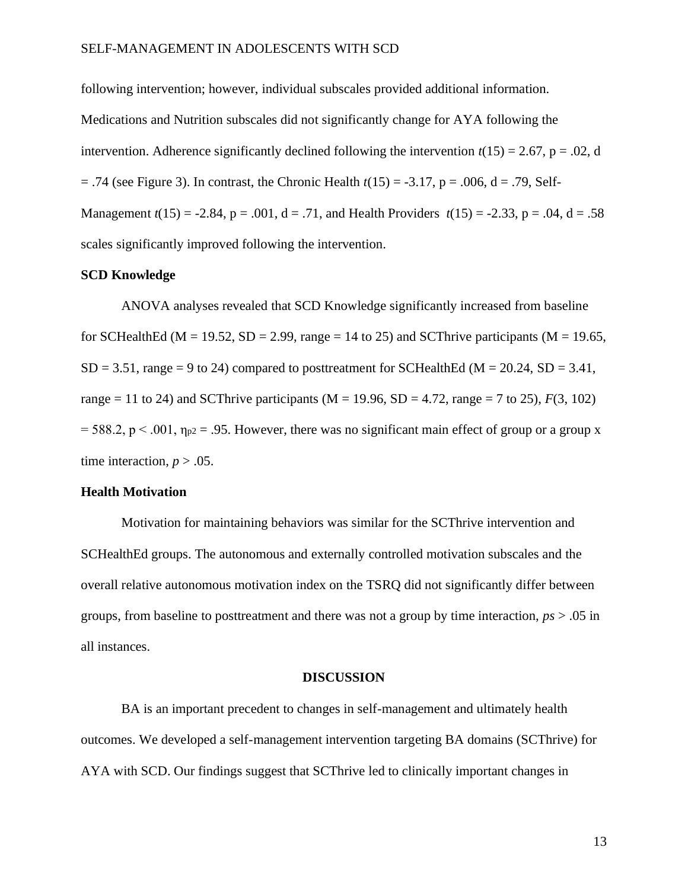following intervention; however, individual subscales provided additional information.

Medications and Nutrition subscales did not significantly change for AYA following the intervention. Adherence significantly declined following the intervention  $t(15) = 2.67$ , p = .02, d = .74 (see Figure 3). In contrast, the Chronic Health *t*(15) = -3.17, p = .006, d = .79, Self-Management  $t(15) = -2.84$ ,  $p = .001$ ,  $d = .71$ , and Health Providers  $t(15) = -2.33$ ,  $p = .04$ ,  $d = .58$ scales significantly improved following the intervention.

#### **SCD Knowledge**

ANOVA analyses revealed that SCD Knowledge significantly increased from baseline for SCHealthEd ( $M = 19.52$ ,  $SD = 2.99$ , range = 14 to 25) and SCThrive participants ( $M = 19.65$ ,  $SD = 3.51$ , range = 9 to 24) compared to posttreatment for SCHealthEd (M = 20.24, SD = 3.41, range = 11 to 24) and SCThrive participants ( $M = 19.96$ ,  $SD = 4.72$ , range = 7 to 25),  $F(3, 102)$  $= 588.2$ , p < .001,  $\eta_{p2} = .95$ . However, there was no significant main effect of group or a group x time interaction,  $p > .05$ .

#### **Health Motivation**

Motivation for maintaining behaviors was similar for the SCThrive intervention and SCHealthEd groups. The autonomous and externally controlled motivation subscales and the overall relative autonomous motivation index on the TSRQ did not significantly differ between groups, from baseline to posttreatment and there was not a group by time interaction, *ps* > .05 in all instances.

#### **DISCUSSION**

BA is an important precedent to changes in self-management and ultimately health outcomes. We developed a self-management intervention targeting BA domains (SCThrive) for AYA with SCD. Our findings suggest that SCThrive led to clinically important changes in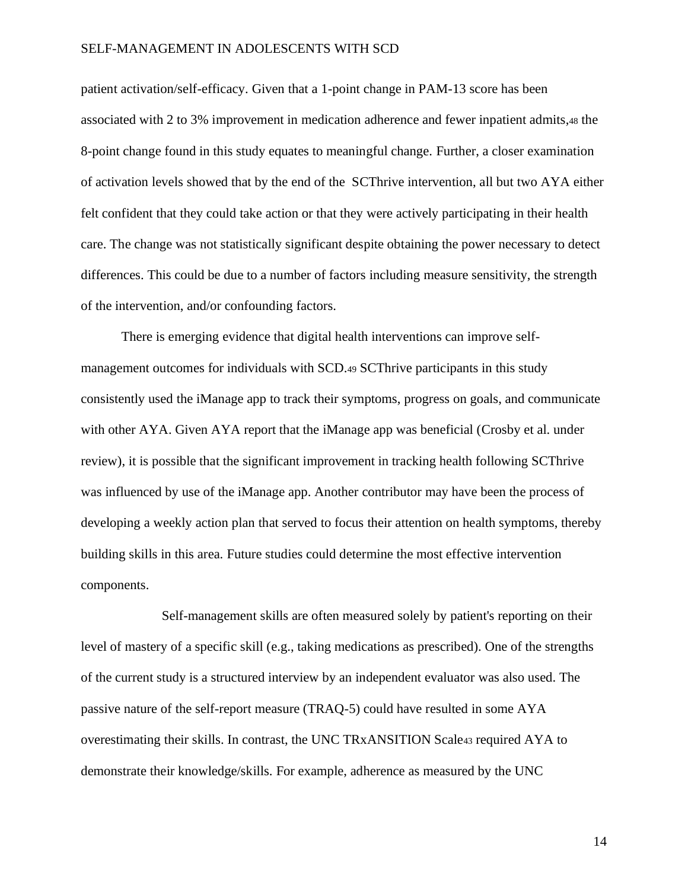patient activation/self-efficacy. Given that a 1-point change in PAM-13 score has been associated with 2 to 3% improvement in medication adherence and fewer inpatient admits,<sup>48</sup> the 8-point change found in this study equates to meaningful change. Further, a closer examination of activation levels showed that by the end of the SCThrive intervention, all but two AYA either felt confident that they could take action or that they were actively participating in their health care. The change was not statistically significant despite obtaining the power necessary to detect differences. This could be due to a number of factors including measure sensitivity, the strength of the intervention, and/or confounding factors.

There is emerging evidence that digital health interventions can improve selfmanagement outcomes for individuals with SCD.<sup>49</sup> SCThrive participants in this study consistently used the iManage app to track their symptoms, progress on goals, and communicate with other AYA. Given AYA report that the iManage app was beneficial (Crosby et al. under review), it is possible that the significant improvement in tracking health following SCThrive was influenced by use of the iManage app. Another contributor may have been the process of developing a weekly action plan that served to focus their attention on health symptoms, thereby building skills in this area. Future studies could determine the most effective intervention components.

Self-management skills are often measured solely by patient's reporting on their level of mastery of a specific skill (e.g., taking medications as prescribed). One of the strengths of the current study is a structured interview by an independent evaluator was also used. The passive nature of the self-report measure (TRAQ-5) could have resulted in some AYA overestimating their skills. In contrast, the UNC TRxANSITION Scale<sup>43</sup> required AYA to demonstrate their knowledge/skills. For example, adherence as measured by the UNC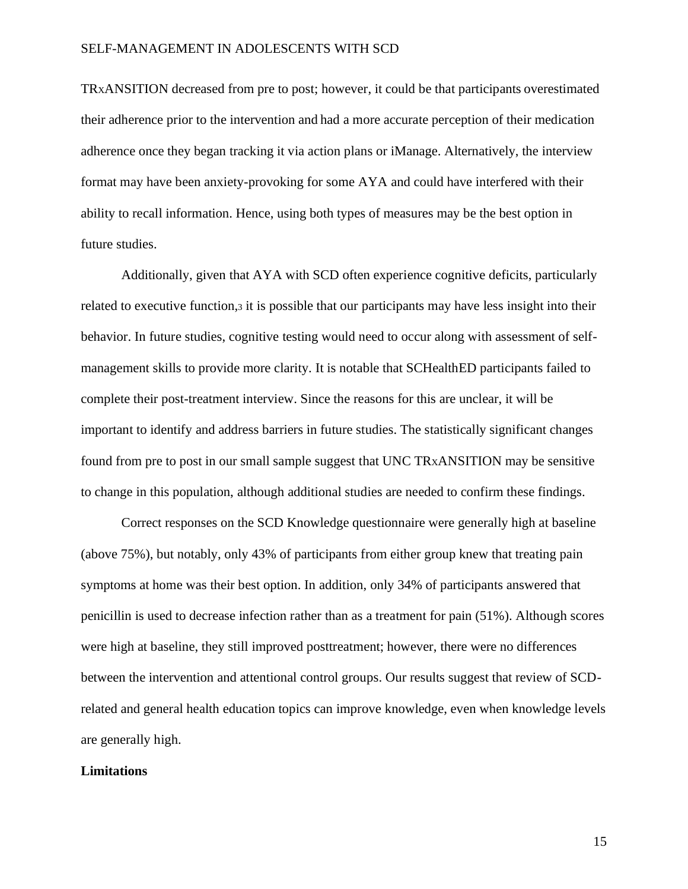TRXANSITION decreased from pre to post; however, it could be that participants overestimated their adherence prior to the intervention and had a more accurate perception of their medication adherence once they began tracking it via action plans or iManage. Alternatively, the interview format may have been anxiety-provoking for some AYA and could have interfered with their ability to recall information. Hence, using both types of measures may be the best option in future studies.

Additionally, given that AYA with SCD often experience cognitive deficits, particularly related to executive function,<sup>3</sup> it is possible that our participants may have less insight into their behavior. In future studies, cognitive testing would need to occur along with assessment of selfmanagement skills to provide more clarity. It is notable that SCHealthED participants failed to complete their post-treatment interview. Since the reasons for this are unclear, it will be important to identify and address barriers in future studies. The statistically significant changes found from pre to post in our small sample suggest that UNC TRXANSITION may be sensitive to change in this population, although additional studies are needed to confirm these findings.

Correct responses on the SCD Knowledge questionnaire were generally high at baseline (above 75%), but notably, only 43% of participants from either group knew that treating pain symptoms at home was their best option. In addition, only 34% of participants answered that penicillin is used to decrease infection rather than as a treatment for pain (51%). Although scores were high at baseline, they still improved posttreatment; however, there were no differences between the intervention and attentional control groups. Our results suggest that review of SCDrelated and general health education topics can improve knowledge, even when knowledge levels are generally high.

#### **Limitations**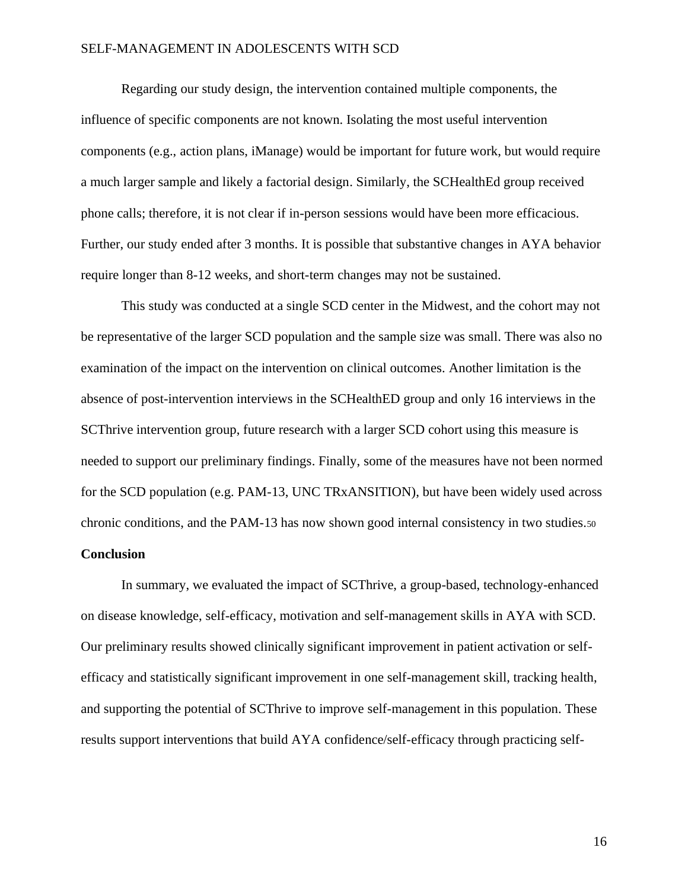Regarding our study design, the intervention contained multiple components, the influence of specific components are not known. Isolating the most useful intervention components (e.g., action plans, iManage) would be important for future work, but would require a much larger sample and likely a factorial design. Similarly, the SCHealthEd group received phone calls; therefore, it is not clear if in-person sessions would have been more efficacious. Further, our study ended after 3 months. It is possible that substantive changes in AYA behavior require longer than 8-12 weeks, and short-term changes may not be sustained.

This study was conducted at a single SCD center in the Midwest, and the cohort may not be representative of the larger SCD population and the sample size was small. There was also no examination of the impact on the intervention on clinical outcomes. Another limitation is the absence of post-intervention interviews in the SCHealthED group and only 16 interviews in the SCThrive intervention group, future research with a larger SCD cohort using this measure is needed to support our preliminary findings. Finally, some of the measures have not been normed for the SCD population (e.g. PAM-13, UNC TRxANSITION), but have been widely used across chronic conditions, and the PAM-13 has now shown good internal consistency in two studies.<sup>50</sup>

### **Conclusion**

In summary, we evaluated the impact of SCThrive, a group-based, technology-enhanced on disease knowledge, self-efficacy, motivation and self-management skills in AYA with SCD. Our preliminary results showed clinically significant improvement in patient activation or selfefficacy and statistically significant improvement in one self-management skill, tracking health, and supporting the potential of SCThrive to improve self-management in this population. These results support interventions that build AYA confidence/self-efficacy through practicing self-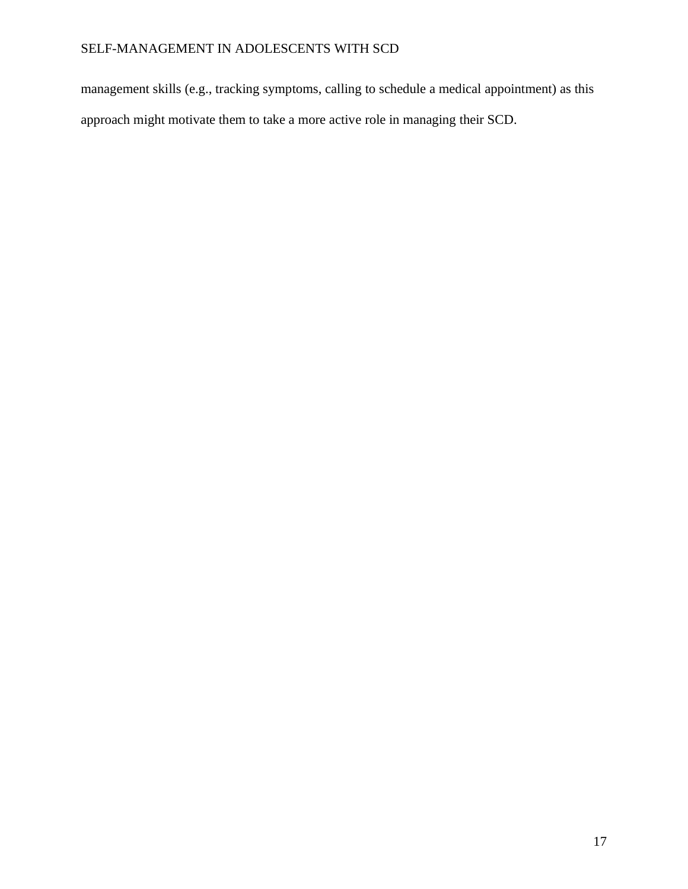management skills (e.g., tracking symptoms, calling to schedule a medical appointment) as this approach might motivate them to take a more active role in managing their SCD.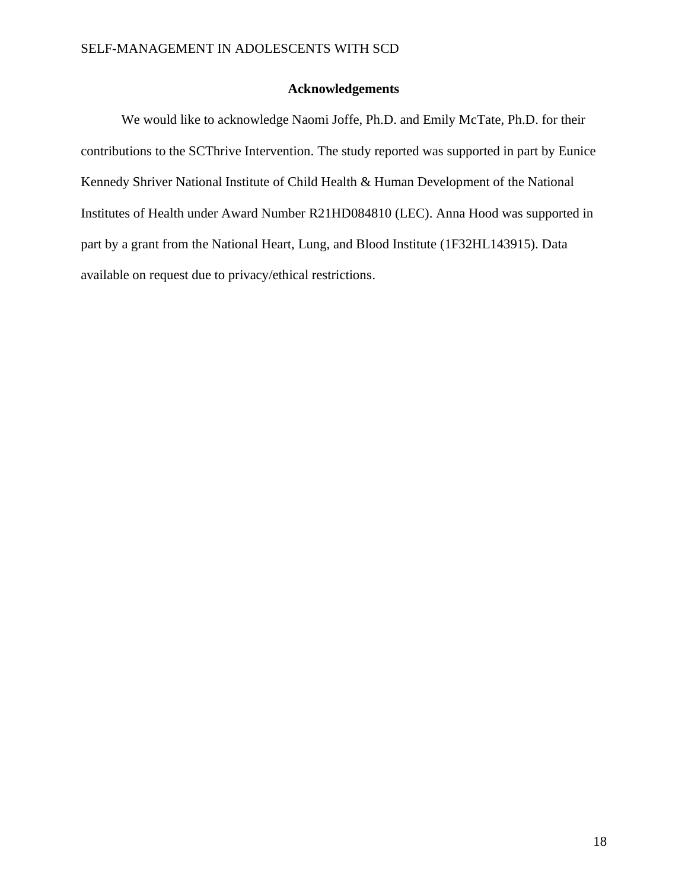### **Acknowledgements**

We would like to acknowledge Naomi Joffe, Ph.D. and Emily McTate, Ph.D. for their contributions to the SCThrive Intervention. The study reported was supported in part by Eunice Kennedy Shriver National Institute of Child Health & Human Development of the National Institutes of Health under Award Number R21HD084810 (LEC). Anna Hood was supported in part by a grant from the National Heart, Lung, and Blood Institute (1F32HL143915). Data available on request due to privacy/ethical restrictions.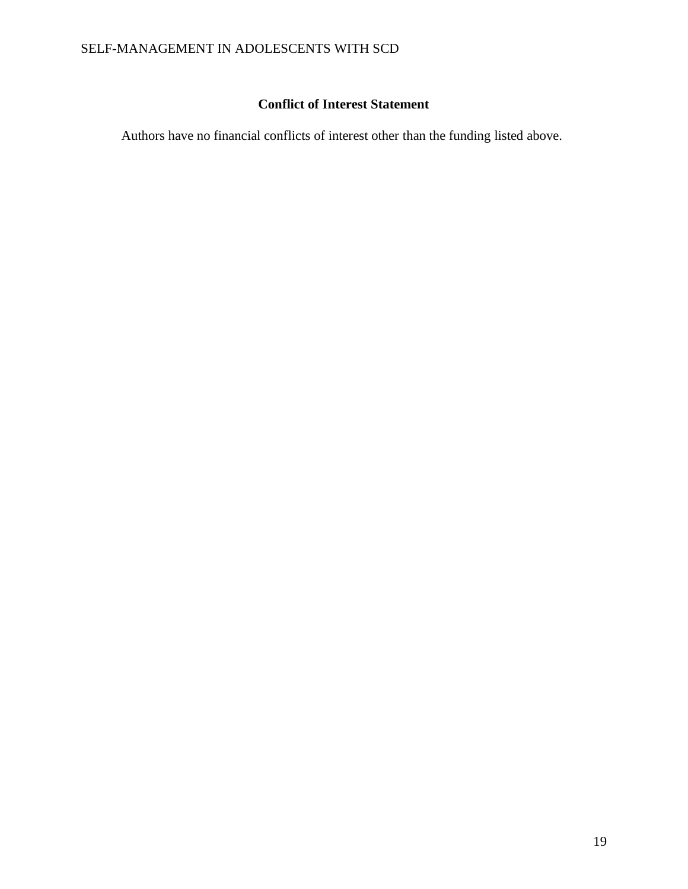# **Conflict of Interest Statement**

Authors have no financial conflicts of interest other than the funding listed above.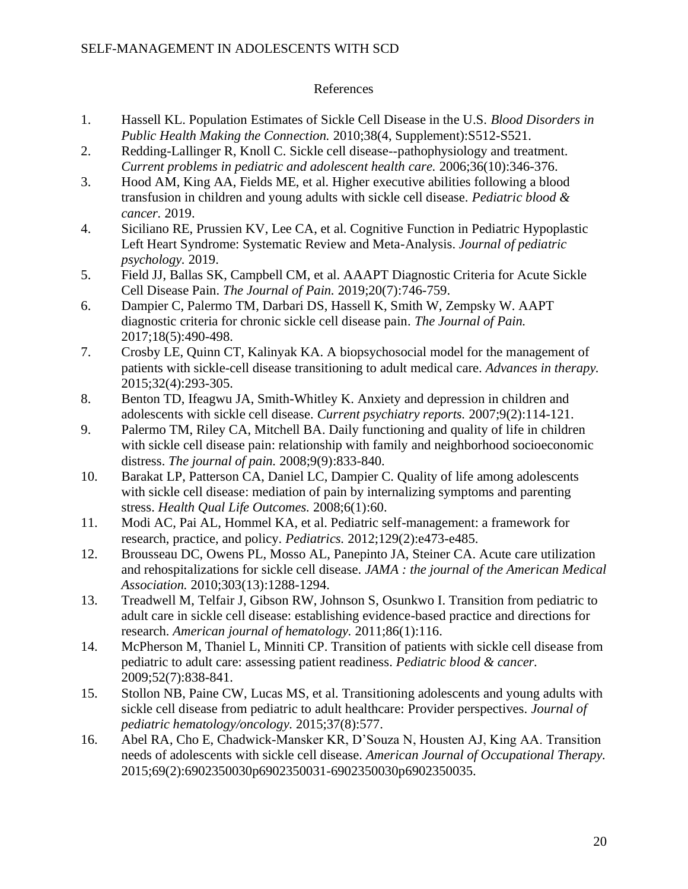## References

- 1. Hassell KL. Population Estimates of Sickle Cell Disease in the U.S. *Blood Disorders in Public Health Making the Connection.* 2010;38(4, Supplement):S512-S521.
- 2. Redding-Lallinger R, Knoll C. Sickle cell disease--pathophysiology and treatment. *Current problems in pediatric and adolescent health care.* 2006;36(10):346-376.
- 3. Hood AM, King AA, Fields ME, et al. Higher executive abilities following a blood transfusion in children and young adults with sickle cell disease. *Pediatric blood & cancer.* 2019.
- 4. Siciliano RE, Prussien KV, Lee CA, et al. Cognitive Function in Pediatric Hypoplastic Left Heart Syndrome: Systematic Review and Meta-Analysis. *Journal of pediatric psychology.* 2019.
- 5. Field JJ, Ballas SK, Campbell CM, et al. AAAPT Diagnostic Criteria for Acute Sickle Cell Disease Pain. *The Journal of Pain.* 2019;20(7):746-759.
- 6. Dampier C, Palermo TM, Darbari DS, Hassell K, Smith W, Zempsky W. AAPT diagnostic criteria for chronic sickle cell disease pain. *The Journal of Pain.*  2017;18(5):490-498.
- 7. Crosby LE, Quinn CT, Kalinyak KA. A biopsychosocial model for the management of patients with sickle-cell disease transitioning to adult medical care. *Advances in therapy.*  2015;32(4):293-305.
- 8. Benton TD, Ifeagwu JA, Smith-Whitley K. Anxiety and depression in children and adolescents with sickle cell disease. *Current psychiatry reports.* 2007;9(2):114-121.
- 9. Palermo TM, Riley CA, Mitchell BA. Daily functioning and quality of life in children with sickle cell disease pain: relationship with family and neighborhood socioeconomic distress. *The journal of pain.* 2008;9(9):833-840.
- 10. Barakat LP, Patterson CA, Daniel LC, Dampier C. Quality of life among adolescents with sickle cell disease: mediation of pain by internalizing symptoms and parenting stress. *Health Qual Life Outcomes.* 2008;6(1):60.
- 11. Modi AC, Pai AL, Hommel KA, et al. Pediatric self-management: a framework for research, practice, and policy. *Pediatrics.* 2012;129(2):e473-e485.
- 12. Brousseau DC, Owens PL, Mosso AL, Panepinto JA, Steiner CA. Acute care utilization and rehospitalizations for sickle cell disease. *JAMA : the journal of the American Medical Association.* 2010;303(13):1288-1294.
- 13. Treadwell M, Telfair J, Gibson RW, Johnson S, Osunkwo I. Transition from pediatric to adult care in sickle cell disease: establishing evidence-based practice and directions for research. *American journal of hematology.* 2011;86(1):116.
- 14. McPherson M, Thaniel L, Minniti CP. Transition of patients with sickle cell disease from pediatric to adult care: assessing patient readiness. *Pediatric blood & cancer.*  2009;52(7):838-841.
- 15. Stollon NB, Paine CW, Lucas MS, et al. Transitioning adolescents and young adults with sickle cell disease from pediatric to adult healthcare: Provider perspectives. *Journal of pediatric hematology/oncology.* 2015;37(8):577.
- 16. Abel RA, Cho E, Chadwick-Mansker KR, D'Souza N, Housten AJ, King AA. Transition needs of adolescents with sickle cell disease. *American Journal of Occupational Therapy.*  2015;69(2):6902350030p6902350031-6902350030p6902350035.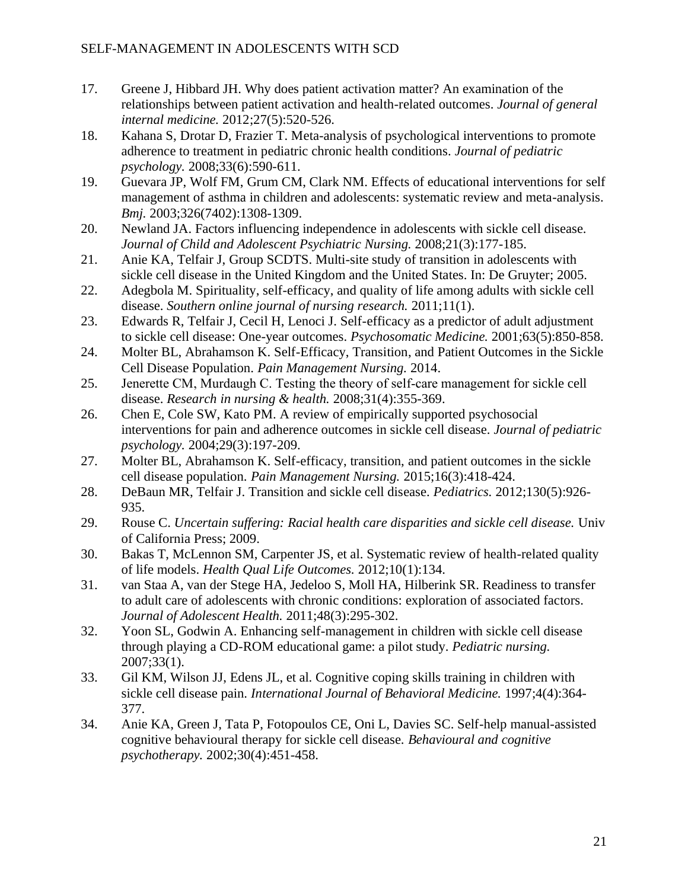- 17. Greene J, Hibbard JH. Why does patient activation matter? An examination of the relationships between patient activation and health-related outcomes. *Journal of general internal medicine.* 2012;27(5):520-526.
- 18. Kahana S, Drotar D, Frazier T. Meta-analysis of psychological interventions to promote adherence to treatment in pediatric chronic health conditions. *Journal of pediatric psychology.* 2008;33(6):590-611.
- 19. Guevara JP, Wolf FM, Grum CM, Clark NM. Effects of educational interventions for self management of asthma in children and adolescents: systematic review and meta-analysis. *Bmj.* 2003;326(7402):1308-1309.
- 20. Newland JA. Factors influencing independence in adolescents with sickle cell disease. *Journal of Child and Adolescent Psychiatric Nursing.* 2008;21(3):177-185.
- 21. Anie KA, Telfair J, Group SCDTS. Multi-site study of transition in adolescents with sickle cell disease in the United Kingdom and the United States. In: De Gruyter; 2005.
- 22. Adegbola M. Spirituality, self-efficacy, and quality of life among adults with sickle cell disease. *Southern online journal of nursing research.* 2011;11(1).
- 23. Edwards R, Telfair J, Cecil H, Lenoci J. Self-efficacy as a predictor of adult adjustment to sickle cell disease: One-year outcomes. *Psychosomatic Medicine.* 2001;63(5):850-858.
- 24. Molter BL, Abrahamson K. Self-Efficacy, Transition, and Patient Outcomes in the Sickle Cell Disease Population. *Pain Management Nursing.* 2014.
- 25. Jenerette CM, Murdaugh C. Testing the theory of self-care management for sickle cell disease. *Research in nursing & health.* 2008;31(4):355-369.
- 26. Chen E, Cole SW, Kato PM. A review of empirically supported psychosocial interventions for pain and adherence outcomes in sickle cell disease. *Journal of pediatric psychology.* 2004;29(3):197-209.
- 27. Molter BL, Abrahamson K. Self-efficacy, transition, and patient outcomes in the sickle cell disease population. *Pain Management Nursing.* 2015;16(3):418-424.
- 28. DeBaun MR, Telfair J. Transition and sickle cell disease. *Pediatrics.* 2012;130(5):926- 935.
- 29. Rouse C. *Uncertain suffering: Racial health care disparities and sickle cell disease.* Univ of California Press; 2009.
- 30. Bakas T, McLennon SM, Carpenter JS, et al. Systematic review of health-related quality of life models. *Health Qual Life Outcomes.* 2012;10(1):134.
- 31. van Staa A, van der Stege HA, Jedeloo S, Moll HA, Hilberink SR. Readiness to transfer to adult care of adolescents with chronic conditions: exploration of associated factors. *Journal of Adolescent Health.* 2011;48(3):295-302.
- 32. Yoon SL, Godwin A. Enhancing self-management in children with sickle cell disease through playing a CD-ROM educational game: a pilot study. *Pediatric nursing.*  2007;33(1).
- 33. Gil KM, Wilson JJ, Edens JL, et al. Cognitive coping skills training in children with sickle cell disease pain. *International Journal of Behavioral Medicine.* 1997;4(4):364- 377.
- 34. Anie KA, Green J, Tata P, Fotopoulos CE, Oni L, Davies SC. Self-help manual-assisted cognitive behavioural therapy for sickle cell disease. *Behavioural and cognitive psychotherapy.* 2002;30(4):451-458.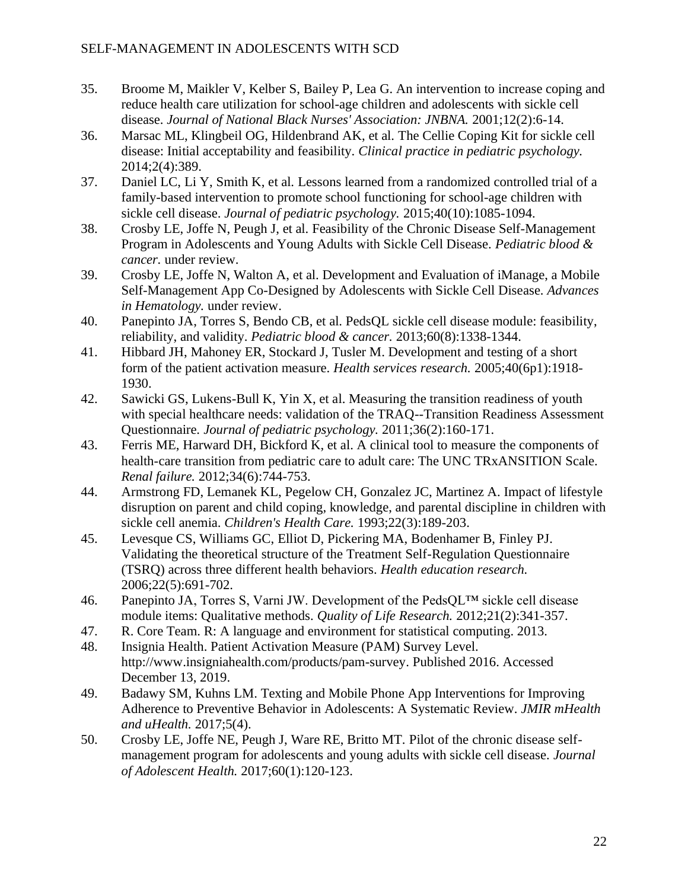- 35. Broome M, Maikler V, Kelber S, Bailey P, Lea G. An intervention to increase coping and reduce health care utilization for school-age children and adolescents with sickle cell disease. *Journal of National Black Nurses' Association: JNBNA.* 2001;12(2):6-14.
- 36. Marsac ML, Klingbeil OG, Hildenbrand AK, et al. The Cellie Coping Kit for sickle cell disease: Initial acceptability and feasibility. *Clinical practice in pediatric psychology.*  2014;2(4):389.
- 37. Daniel LC, Li Y, Smith K, et al. Lessons learned from a randomized controlled trial of a family-based intervention to promote school functioning for school-age children with sickle cell disease. *Journal of pediatric psychology.* 2015;40(10):1085-1094.
- 38. Crosby LE, Joffe N, Peugh J, et al. Feasibility of the Chronic Disease Self-Management Program in Adolescents and Young Adults with Sickle Cell Disease. *Pediatric blood & cancer.* under review.
- 39. Crosby LE, Joffe N, Walton A, et al. Development and Evaluation of iManage, a Mobile Self-Management App Co-Designed by Adolescents with Sickle Cell Disease. *Advances in Hematology.* under review.
- 40. Panepinto JA, Torres S, Bendo CB, et al. PedsQL sickle cell disease module: feasibility, reliability, and validity. *Pediatric blood & cancer.* 2013;60(8):1338-1344.
- 41. Hibbard JH, Mahoney ER, Stockard J, Tusler M. Development and testing of a short form of the patient activation measure. *Health services research.* 2005;40(6p1):1918- 1930.
- 42. Sawicki GS, Lukens-Bull K, Yin X, et al. Measuring the transition readiness of youth with special healthcare needs: validation of the TRAO--Transition Readiness Assessment Questionnaire. *Journal of pediatric psychology.* 2011;36(2):160-171.
- 43. Ferris ME, Harward DH, Bickford K, et al. A clinical tool to measure the components of health-care transition from pediatric care to adult care: The UNC TRxANSITION Scale. *Renal failure.* 2012;34(6):744-753.
- 44. Armstrong FD, Lemanek KL, Pegelow CH, Gonzalez JC, Martinez A. Impact of lifestyle disruption on parent and child coping, knowledge, and parental discipline in children with sickle cell anemia. *Children's Health Care.* 1993;22(3):189-203.
- 45. Levesque CS, Williams GC, Elliot D, Pickering MA, Bodenhamer B, Finley PJ. Validating the theoretical structure of the Treatment Self-Regulation Questionnaire (TSRQ) across three different health behaviors. *Health education research.*  2006;22(5):691-702.
- 46. Panepinto JA, Torres S, Varni JW. Development of the PedsQL™ sickle cell disease module items: Qualitative methods. *Quality of Life Research.* 2012;21(2):341-357.
- 47. R. Core Team. R: A language and environment for statistical computing. 2013.
- 48. Insignia Health. Patient Activation Measure (PAM) Survey Level. http://www.insigniahealth.com/products/pam-survey. Published 2016. Accessed December 13, 2019.
- 49. Badawy SM, Kuhns LM. Texting and Mobile Phone App Interventions for Improving Adherence to Preventive Behavior in Adolescents: A Systematic Review. *JMIR mHealth and uHealth.* 2017;5(4).
- 50. Crosby LE, Joffe NE, Peugh J, Ware RE, Britto MT. Pilot of the chronic disease selfmanagement program for adolescents and young adults with sickle cell disease. *Journal of Adolescent Health.* 2017;60(1):120-123.